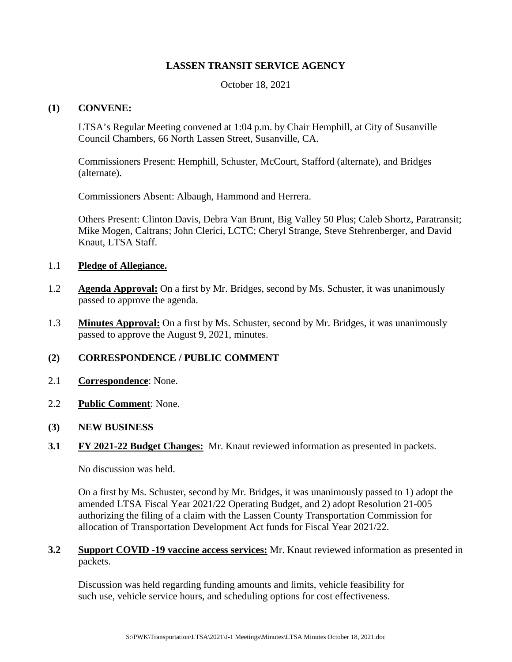# **LASSEN TRANSIT SERVICE AGENCY**

October 18, 2021

#### **(1) CONVENE:**

LTSA's Regular Meeting convened at 1:04 p.m. by Chair Hemphill, at City of Susanville Council Chambers, 66 North Lassen Street, Susanville, CA.

Commissioners Present: Hemphill, Schuster, McCourt, Stafford (alternate), and Bridges (alternate).

Commissioners Absent: Albaugh, Hammond and Herrera.

Others Present: Clinton Davis, Debra Van Brunt, Big Valley 50 Plus; Caleb Shortz, Paratransit; Mike Mogen, Caltrans; John Clerici, LCTC; Cheryl Strange, Steve Stehrenberger, and David Knaut, LTSA Staff.

#### 1.1 **Pledge of Allegiance.**

- 1.2 **Agenda Approval:** On a first by Mr. Bridges, second by Ms. Schuster, it was unanimously passed to approve the agenda.
- 1.3 **Minutes Approval:** On a first by Ms. Schuster, second by Mr. Bridges, it was unanimously passed to approve the August 9, 2021, minutes.

# **(2) CORRESPONDENCE / PUBLIC COMMENT**

- 2.1 **Correspondence**: None.
- 2.2 **Public Comment**: None.

# **(3) NEW BUSINESS**

**3.1 FY 2021-22 Budget Changes:** Mr. Knaut reviewed information as presented in packets.

No discussion was held.

On a first by Ms. Schuster, second by Mr. Bridges, it was unanimously passed to 1) adopt the amended LTSA Fiscal Year 2021/22 Operating Budget, and 2) adopt Resolution 21-005 authorizing the filing of a claim with the Lassen County Transportation Commission for allocation of Transportation Development Act funds for Fiscal Year 2021/22.

**3.2 Support COVID -19 vaccine access services:** Mr. Knaut reviewed information as presented in packets.

Discussion was held regarding funding amounts and limits, vehicle feasibility for such use, vehicle service hours, and scheduling options for cost effectiveness.